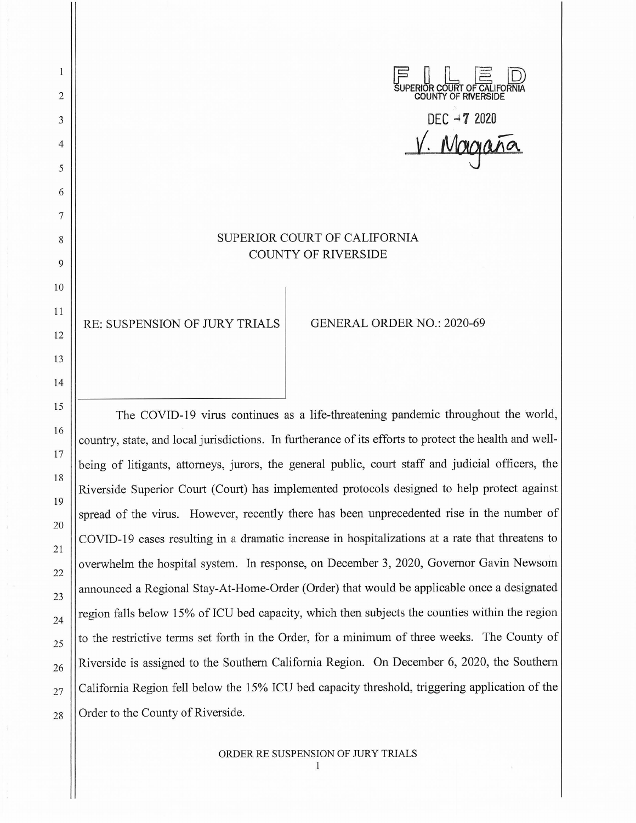$F \parallel F \square$ **~UPERIOR COURT OF CALIFORNIA COUNTY OF RIVERSIDE** 

DEC  $-7$  2020  $V.$  Magaña

## SUPERIOR COURT OF CALIFORNIA COUNTY OF RIVERSIDE

RE: SUSPENSION OF JURY TRIALS GENERAL ORDER NO.: 2020-69

2

1

3

4

5

6

7

8

9

10

11

12

13

14

15

16

17

18

19

20

21

22

23

24

25

26

27

28

The COVID-19 virus continues as a life-threatening pandemic throughout the world, country, state, and local jurisdictions. In furtherance of its efforts to protect the health and wellbeing of litigants, attorneys, jurors, the general public, court staff and judicial officers, the Riverside Superior Court (Court) has implemented protocols designed to help protect against spread of the virus. However, recently there has been unprecedented rise in the number of COVID-19 cases resulting in a dramatic increase in hospitalizations at a rate that threatens to overwhelm the hospital system. In response, on December 3, 2020, Governor Gavin Newsom announced a Regional Stay-At-Home-Order (Order) that would be applicable once a designated region falls below 15% of ICU bed capacity, which then subjects the counties within the region to the restrictive terms set forth in the Order, for a minimum of three weeks. The County of Riverside is assigned to the Southern California Region. On December 6, 2020, the Southern California Region fell below the 15% ICU bed capacity threshold, triggering application of the Order to the County of Riverside.